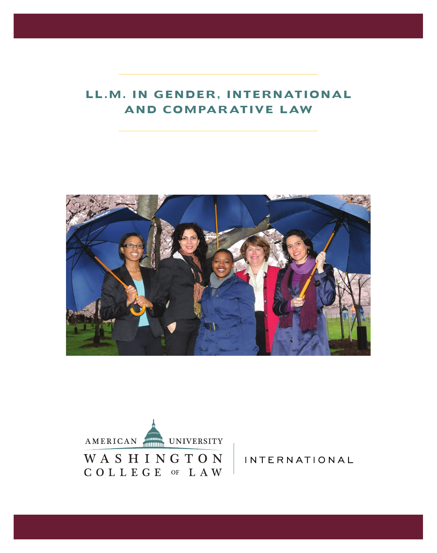# **LL.M. IN GENDER, INTERNATIONAL AND COMPARATIVE LAW**





INTERNATIONAL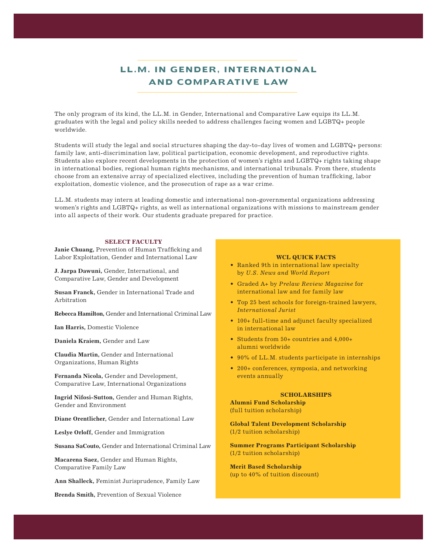## **LL.M. IN GENDER, INTERNATIONAL AND COMPARATIVE LAW**

The only program of its kind, the LL.M. in Gender, International and Comparative Law equips its LL.M. graduates with the legal and policy skills needed to address challenges facing women and LGBTQ+ people worldwide.

family law, anti-discrimination law, political participation, economic development, and reproductive rights. Students will study the legal and social structures shaping the day-to-day lives of women and LGBTQ+ persons: Students also explore recent developments in the protection of women's rights and LGBTQ+ rights taking shape in international bodies, regional human rights mechanisms, and international tribunals. From there, students choose from an extensive array of specialized electives, including the prevention of human trafficking, labor exploitation, domestic violence, and the prosecution of rape as a war crime.

LL.M. students may intern at leading domestic and international non-governmental organizations addressing women's rights and LGBTQ+ rights, as well as international organizations with missions to mainstream gender into all aspects of their work. Our students graduate prepared for practice.

#### **SELECT FACULTY**

**Janie Chuang,** Prevention of Human Trafficking and Labor Exploitation, Gender and International Law

**J. Jarpa Dawuni,** Gender, International, and Comparative Law, Gender and Development

**Susan Franck,** Gender in International Trade and Arbitration

**Rebecca Hamilton,** Gender and International Criminal Law

**Ian Harris,** Domestic Violence

**Daniela Kraiem,** Gender and Law

**Claudia Martin,** Gender and International Organizations, Human Rights

**Fernanda Nicola,** Gender and Development, Comparative Law, International Organizations

**Ingrid Nifosi-Sutton,** Gender and Human Rights, Gender and Environment

**Diane Orentlicher,** Gender and International Law

**Leslye Orloff,** Gender and Immigration

**Susana SaCouto,** Gender and International Criminal Law

**Macarena Saez,** Gender and Human Rights, Comparative Family Law

**Ann Shalleck,** Feminist Jurisprudence, Family Law

**Brenda Smith,** Prevention of Sexual Violence

## **WCL QUICK FACTS**

- Ranked 9th in international law specialty by *U.S. News and World Report*
- Graded A+ by *Prelaw Review Magazine* for international law and for family law
- Top 25 best schools for foreign-trained lawyers, *International Jurist*
- 100+ full-time and adjunct faculty specialized in international law
- Students from 50+ countries and 4,000+ alumni worldwide
- 90% of LL.M. students participate in internships
- 200+ conferences, symposia, and networking events annually

## **SCHOLARSHIPS**

 **Alumni Fund Scholarship** (full tuition scholarship)

**Global Talent Development Scholarship**  (1/2 tuition scholarship)

**Summer Programs Participant Scholarship**  (1/2 tuition scholarship)

 **Merit Based Scholarship**  (up to 40% of tuition discount)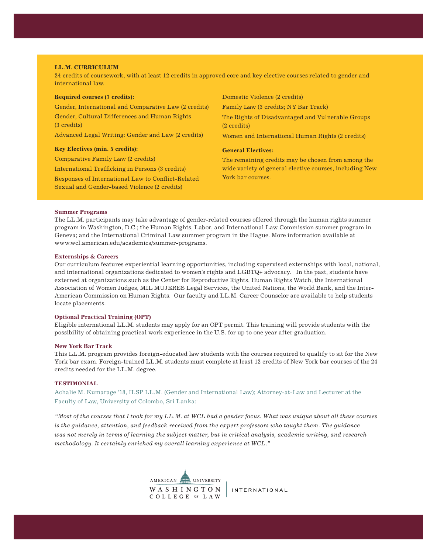#### **LL.M. CURRICULUM**

24 credits of coursework, with at least 12 credits in approved core and key elective courses related to gender and international law.

| <b>Required courses (7 credits):</b>                         | Domestic Violence (2 credits)                                    |
|--------------------------------------------------------------|------------------------------------------------------------------|
| Gender, International and Comparative Law (2 credits)        | Family Law (3 credits; NY Bar Track)                             |
| Gender, Cultural Differences and Human Rights<br>(3 credits) | The Rights of Disadvantaged and Vulnerable Groups<br>(2 credits) |
| Advanced Legal Writing: Gender and Law (2 credits)           | Women and International Human Rights (2 credits)                 |
|                                                              |                                                                  |
| <b>Key Electives (min. 5 credits):</b>                       | <b>General Electives:</b>                                        |
| Comparative Family Law (2 credits)                           | The remaining credits may be chosen from among the               |
| International Trafficking in Persons (3 credits)             | wide variety of general elective courses, including New          |

#### **Summer Programs**

The LL.M. participants may take advantage of gender-related courses offered through the human rights summer program in Washington, D.C.; the Human Rights, Labor, and International Law Commission summer program in Geneva; and the International Criminal Law summer program in the Hague. More information available at www.wcl.american.edu/academics/summer-programs.

#### **Externships & Careers**

Our curriculum features experiential learning opportunities, including supervised externships with local, national, and international organizations dedicated to women's rights and LGBTQ+ advocacy. In the past, students have externed at organizations such as the Center for Reproductive Rights, Human Rights Watch, the International Association of Women Judges, MIL MUJERES Legal Services, the United Nations, the World Bank, and the Inter-American Commission on Human Rights. Our faculty and LL.M. Career Counselor are available to help students locate placements.

#### **Optional Practical Training (OPT)**

Eligible international LL.M. students may apply for an OPT permit. This training will provide students with the possibility of obtaining practical work experience in the U.S. for up to one year after graduation.

#### **New York Bar Track**

This LL.M. program provides foreign-educated law students with the courses required to qualify to sit for the New York bar exam. Foreign-trained LL.M. students must complete at least 12 credits of New York bar courses of the 24 credits needed for the LL.M. degree.

## **TESTIMONIAL**

Achalie M. Kumarage '18, ILSP LL.M. (Gender and International Law); Attorney-at-Law and Lecturer at the Faculty of Law, University of Colombo, Sri Lanka:

*"Most of the courses that I took for my LL.M. at WCL had a gender focus. What was unique about all these courses is the guidance, attention, and feedback received from the expert professors who taught them. The guidance was not merely in terms of learning the subject matter, but in critical analysis, academic writing, and research methodology. It certainly enriched my overall learning experience at WCL."*